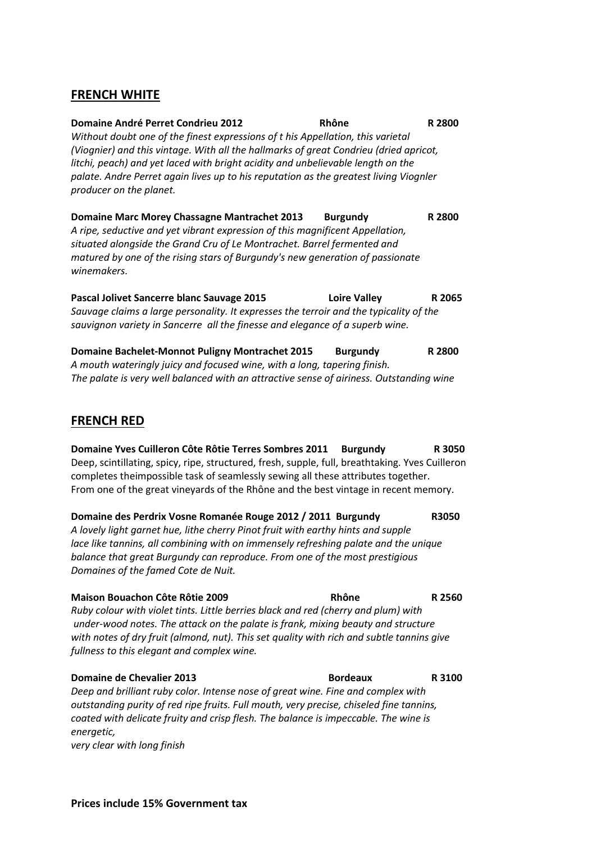### **FRENCH WHITE**

| Domaine André Perret Condrieu 2012<br>Without doubt one of the finest expressions of t his Appellation, this varietal<br>(Viognier) and this vintage. With all the hallmarks of great Condrieu (dried apricot,<br>litchi, peach) and yet laced with bright acidity and unbelievable length on the<br>palate. Andre Perret again lives up to his reputation as the greatest living Viognler<br>producer on the planet. | Rhône               | R 2800 |
|-----------------------------------------------------------------------------------------------------------------------------------------------------------------------------------------------------------------------------------------------------------------------------------------------------------------------------------------------------------------------------------------------------------------------|---------------------|--------|
| Domaine Marc Morey Chassagne Mantrachet 2013<br>A ripe, seductive and yet vibrant expression of this magnificent Appellation,<br>situated alongside the Grand Cru of Le Montrachet. Barrel fermented and<br>matured by one of the rising stars of Burgundy's new generation of passionate<br>winemakers.                                                                                                              | <b>Burgundy</b>     | R 2800 |
| Pascal Jolivet Sancerre blanc Sauvage 2015<br>Sauvage claims a large personality. It expresses the terroir and the typicality of the<br>sauvignon variety in Sancerre all the finesse and elegance of a superb wine.                                                                                                                                                                                                  | <b>Loire Valley</b> | R 2065 |
| <b>Domaine Bachelet-Monnot Puligny Montrachet 2015</b><br>A mouth wateringly juicy and focused wine, with a long tanering finish                                                                                                                                                                                                                                                                                      | <b>Burgundy</b>     | R 2800 |

*A mouth wateringly juicy and focused wine, with a long, tapering finish. The palate is very well balanced with an attractive sense of airiness. Outstanding wine*

## **FRENCH RED**

**Domaine Yves Cuilleron Côte Rôtie Terres Sombres 2011 Burgundy R 3050** Deep, scintillating, spicy, ripe, structured, fresh, supple, full, breathtaking. Yves Cuilleron completes theimpossible task of seamlessly sewing all these attributes together. From one of the great vineyards of the Rhône and the best vintage in recent memory.

**Domaine des Perdrix Vosne Romanée Rouge 2012 / 2011 Burgundy R3050** *A lovely light garnet hue, lithe cherry Pinot fruit with earthy hints and supple lace like tannins, all combining with on immensely refreshing palate and the unique balance that great Burgundy can reproduce. From one of the most prestigious Domaines of the famed Cote de Nuit.*

**Maison Bouachon Côte Rôtie 2009 Rhône R 2560** *Ruby colour with violet tints. Little berries black and red (cherry and plum) with under-wood notes. The attack on the palate is frank, mixing beauty and structure with notes of dry fruit (almond, nut). This set quality with rich and subtle tannins give fullness to this elegant and complex wine.*

**Domaine de Chevalier 2013 Bordeaux R** 3100 *Deep and brilliant ruby color. Intense nose of great wine. Fine and complex with outstanding purity of red ripe fruits. Full mouth, very precise, chiseled fine tannins, coated with delicate fruity and crisp flesh. The balance is impeccable. The wine is energetic, very clear with long finish*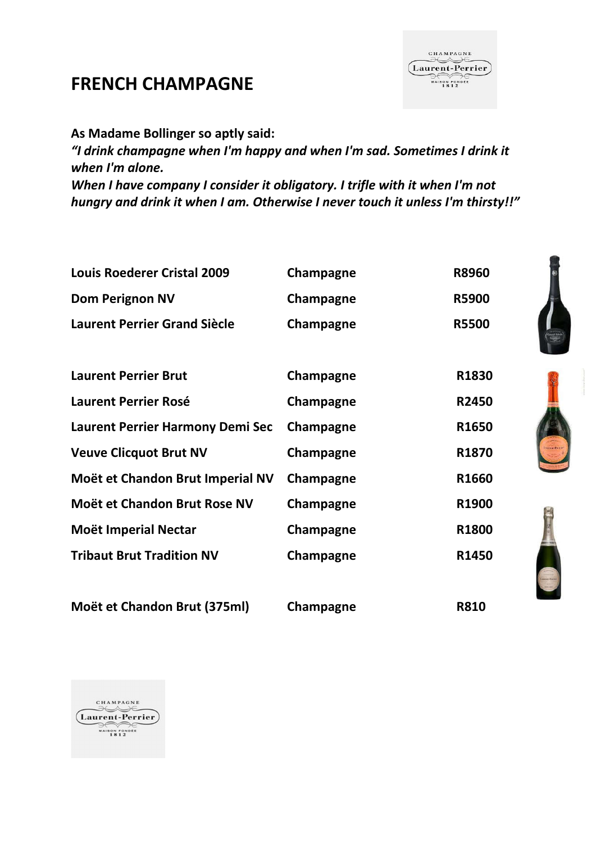# **FRENCH CHAMPAGNE**

**As Madame Bollinger so aptly said:**

*"I drink champagne when I'm happy and when I'm sad. Sometimes I drink it when I'm alone.* 

*When I have company I consider it obligatory. I trifle with it when I'm not hungry and drink it when I am. Otherwise I never touch it unless I'm thirsty!!"*

| <b>Louis Roederer Cristal 2009</b>      | Champagne | <b>R8960</b>      |
|-----------------------------------------|-----------|-------------------|
| <b>Dom Perignon NV</b>                  | Champagne | <b>R5900</b>      |
| <b>Laurent Perrier Grand Siècle</b>     | Champagne | <b>R5500</b>      |
|                                         |           |                   |
| <b>Laurent Perrier Brut</b>             | Champagne | R1830             |
| <b>Laurent Perrier Rosé</b>             | Champagne | R2450             |
| <b>Laurent Perrier Harmony Demi Sec</b> | Champagne | R1650             |
| <b>Veuve Clicquot Brut NV</b>           | Champagne | R <sub>1870</sub> |
| Moët et Chandon Brut Imperial NV        | Champagne | R1660             |
| Moët et Chandon Brut Rose NV            | Champagne | R1900             |
| Moët Imperial Nectar                    | Champagne | R1800             |
| <b>Tribaut Brut Tradition NV</b>        | Champagne | R1450             |
|                                         |           |                   |

**Moët et Chandon Brut (375ml) Champagne R810**

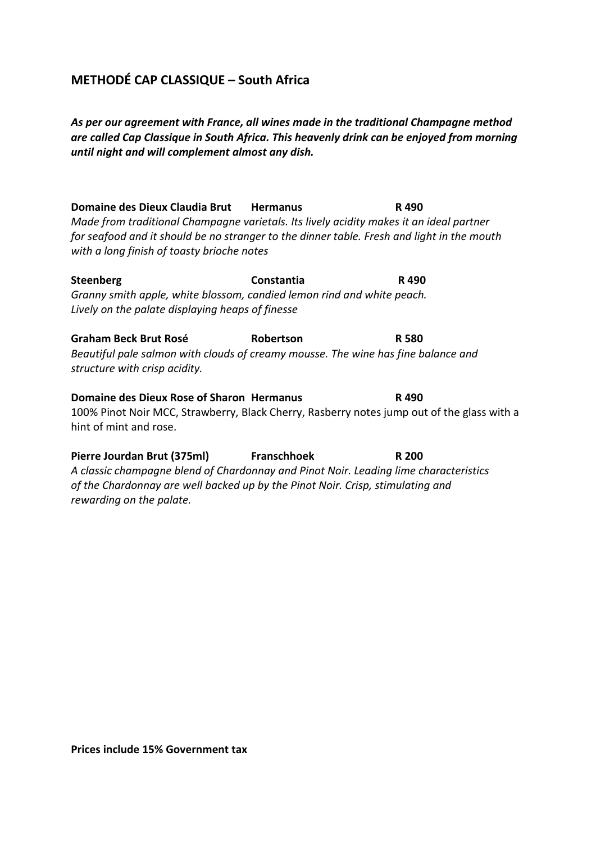## **METHODÉ CAP CLASSIQUE – South Africa**

*As per our agreement with France, all wines made in the traditional Champagne method are called Cap Classique in South Africa. This heavenly drink can be enjoyed from morning until night and will complement almost any dish.*

**Domaine des Dieux Claudia Brut Hermanus R 490** *Made from traditional Champagne varietals. Its lively acidity makes it an ideal partner for seafood and it should be no stranger to the dinner table. Fresh and light in the mouth with a long finish of toasty brioche notes*

**Steenberg Constantia R 490** *Granny smith apple, white blossom, candied lemon rind and white peach. Lively on the palate displaying heaps of finesse*

**Graham Beck Brut Rosé Robertson R 580** *Beautiful pale salmon with clouds of creamy mousse. The wine has fine balance and structure with crisp acidity.*

**Domaine des Dieux Rose of Sharon Hermanus R 490** 100% Pinot Noir MCC, Strawberry, Black Cherry, Rasberry notes jump out of the glass with a hint of mint and rose.

**Pierre Jourdan Brut (375ml) Franschhoek R 200** *A classic champagne blend of Chardonnay and Pinot Noir. Leading lime characteristics of the Chardonnay are well backed up by the Pinot Noir. Crisp, stimulating and rewarding on the palate.*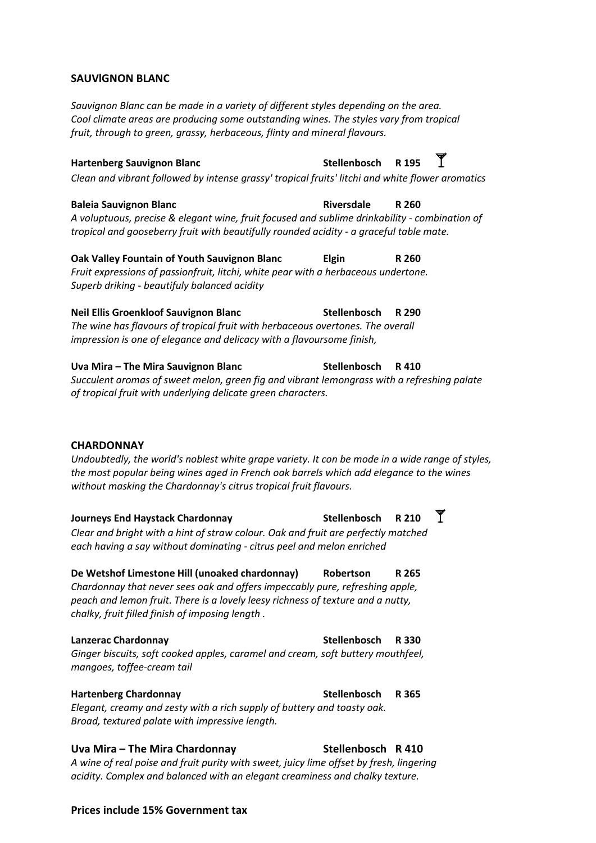#### **SAUVlGNON BLANC**

*Sauvignon Blanc can be made in a variety of different styles depending on the area. Cool climate areas are producing some outstanding wines. The styles vary from tropical fruit, through to green, grassy, herbaceous, flinty and mineral flavours.*

**Hartenberg Sauvignon Blanc Stellenbosch R 195** *Clean and vibrant followed by intense grassy' tropical fruits' litchi and white flower aromatics*

**Baleia Sauvignon Blanc Riversdale R 260** *A voluptuous, precise & elegant wine, fruit focused and sublime drinkability - combination of tropical and gooseberry fruit with beautifully rounded acidity - a graceful table mate.*

**Oak Valley Fountain of Youth Sauvignon Blanc Elgin R 260** *Fruit expressions of passionfruit, litchi, white pear with a herbaceous undertone. Superb driking - beautifuly balanced acidity*

**Neil Ellis Groenkloof Sauvignon Blanc Stellenbosch R 290** *The wine has flavours of tropical fruit with herbaceous overtones. The overall impression is one of elegance and delicacy with a flavoursome finish,*

**Uva Mira – The Mira Sauvignon Blanc Stellenbosch R 410** *Succulent aromas of sweet melon, green fig and vibrant lemongrass with a refreshing palate of tropical fruit with underlying delicate green characters.*

#### **CHARDONNAY**

*Undoubtedly, the world's noblest white grape variety. It con be mode in a wide range of styles, the most popular being wines aged in French oak barrels which add elegance to the wines without masking the Chardonnay's citrus tropical fruit flavours.*

**Journeys End Haystack Chardonnay Stellenbosch R 210** *Clear and bright with a hint of straw colour. Oak and fruit are perfectly matched each having a say without dominating - citrus peel and melon enriched*

**De Wetshof Limestone Hill (unoaked chardonnay) Robertson R 265** *Chardonnay that never sees oak and offers impeccably pure, refreshing apple, peach and lemon fruit. There is a lovely leesy richness of texture and a nutty, chalky, fruit filled finish of imposing length .*

**Lanzerac Chardonnay Stellenbosch R 330** *Ginger biscuits, soft cooked apples, caramel and cream, soft buttery mouthfeel, mangoes, toffee-cream tail*

**Hartenberg Chardonnay Stellenbosch R 365** *Elegant, creamy and zesty with a rich supply of buttery and toasty oak. Broad, textured palate with impressive length.*

## **Uva Mira – The Mira Chardonnay Stellenbosch R 410**

*A wine of real poise and fruit purity with sweet, juicy lime offset by fresh, lingering acidity. Complex and balanced with an elegant creaminess and chalky texture.*

#### **Prices include 15% Government tax**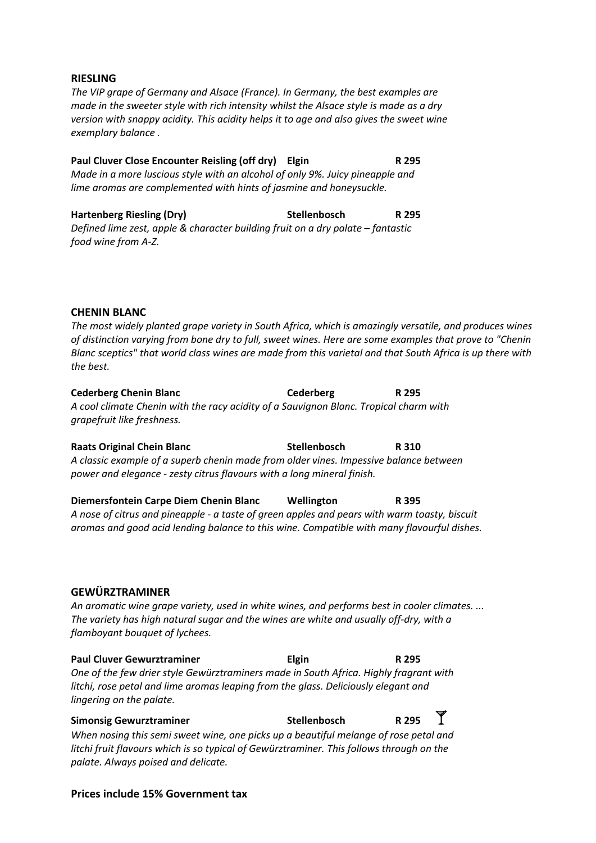#### **RIESLING**

*The VIP grape of Germany and Alsace (France). In Germany, the best examples are made in the sweeter style with rich intensity whilst the Alsace style is made as a dry version with snappy acidity. This acidity helps it to age and also gives the sweet wine exemplary balance .*

**Paul Cluver Close Encounter Reisling (off dry) Elgin R 295** *Made in a more luscious style with an alcohol of only 9%. Juicy pineapple and lime aromas are complemented with hints of jasmine and honeysuckle.*

**Hartenberg Riesling (Dry) Stellenbosch R 295** *Defined lime zest, apple & character building fruit on a dry palate – fantastic food wine from A-Z.*

#### **CHENIN BLANC**

*The most widely planted grape variety in South Africa, which is amazingly versatile, and produces wines of distinction varying from bone dry to full, sweet wines. Here are some examples that prove to "Chenin Blanc sceptics" that world class wines are made from this varietal and that South Africa is up there with the best.*

**Cederberg Chenin Blanc Cederberg R 295** *A cool climate Chenin with the racy acidity of a Sauvignon Blanc. Tropical charm with grapefruit like freshness.*

**Raats Original Chein Blanc Stellenbosch R 310** *A classic example of a superb chenin made from older vines. Impessive balance between power and elegance - zesty citrus flavours with a long mineral finish.*

**Diemersfontein Carpe Diem Chenin Blanc Wellington R 395** *A nose of citrus and pineapple - a taste of green apples and pears with warm toasty, biscuit aromas and good acid lending balance to this wine. Compatible with many flavourful dishes.*

#### **GEWÜRZTRAMINER**

*An aromatic wine grape variety, used in white wines, and performs best in cooler climates. ... The variety has high natural sugar and the wines are white and usually off-dry, with a flamboyant bouquet of lychees.*

**Paul Cluver Gewurztraminer Elgin R 295** *One of the few drier style Gewürztraminers made in South Africa. Highly fragrant with litchi, rose petal and lime aromas leaping from the glass. Deliciously elegant and lingering on the palate.*

**Simonsig Gewurztraminer Stellenbosch R 295** *When nosing this semi sweet wine, one picks up a beautiful melange of rose petal and litchi fruit flavours which is so typical of Gewürztraminer. This follows through on the palate. Always poised and delicate.*

#### **Prices include 15% Government tax**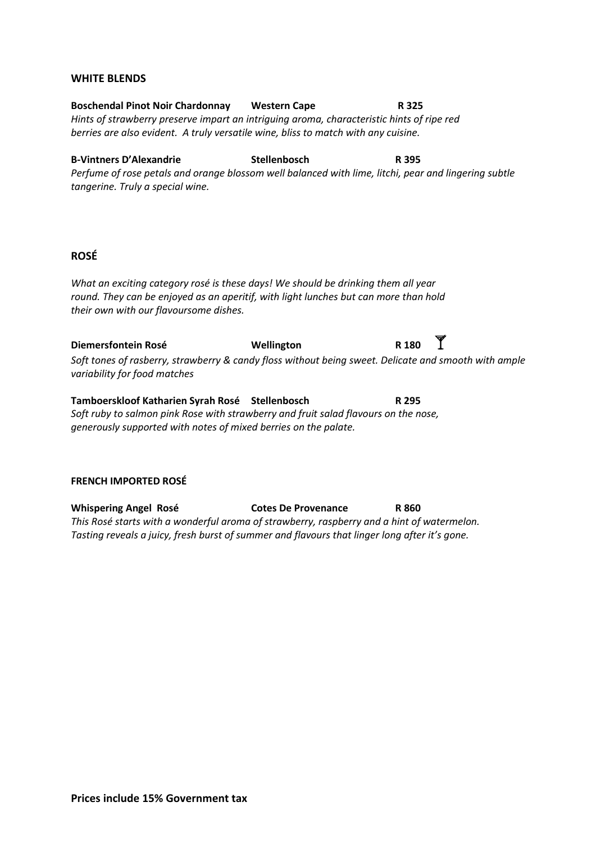#### **WHITE BLENDS**

**Boschendal Pinot Noir Chardonnay Western Cape R 325** *Hints of strawberry preserve impart an intriguing aroma, characteristic hints of ripe red berries are also evident. A truly versatile wine, bliss to match with any cuisine.*

**B-Vintners D'Alexandrie Stellenbosch R 395** *Perfume of rose petals and orange blossom well balanced with lime, litchi, pear and lingering subtle tangerine. Truly a special wine.*

#### **ROSÉ**

*What an exciting category rosé is these days! We should be drinking them all year round. They can be enjoyed as an aperitif, with light lunches but can more than hold their own with our flavoursome dishes.*

**Diemersfontein Rosé CONFIDENTIAL MELLINGER CONFIDENT RATES AND RESEAUCHLY RATES RATES** *Soft tones of rasberry, strawberry & candy floss without being sweet. Delicate and smooth with ample variability for food matches*

**Tamboerskloof Katharien Syrah Rosé Stellenbosch R 295** *Soft ruby to salmon pink Rose with strawberry and fruit salad flavours on the nose, generously supported with notes of mixed berries on the palate.*

#### **FRENCH IMPORTED ROSÉ**

**Whispering Angel Rosé Cotes De Provenance R 860** *This Rosé starts with a wonderful aroma of strawberry, raspberry and a hint of watermelon. Tasting reveals a juicy, fresh burst of summer and flavours that linger long after it's gone.*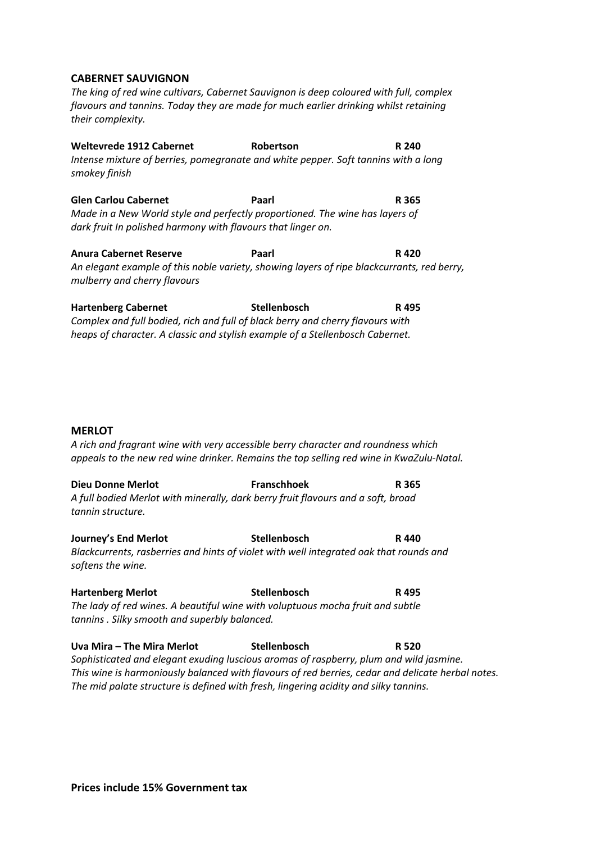#### **CABERNET SAUVIGNON**

*The king of red wine cultivars, Cabernet Sauvignon is deep coloured with full, complex flavours and tannins. Today they are made for much earlier drinking whilst retaining their complexity.*

**Weltevrede 1912 Cabernet Robertson R 240** *Intense mixture of berries, pomegranate and white pepper. Soft tannins with a long smokey finish*

**Glen Carlou Cabernet Paarl R 365** *Made in a New World style and perfectly proportioned. The wine has layers of dark fruit In polished harmony with flavours that linger on.*

**Anura Cabernet Reserve Paarl R 420** *An elegant example of this noble variety, showing layers of ripe blackcurrants, red berry, mulberry and cherry flavours*

**Hartenberg Cabernet Stellenbosch R 495** *Complex and full bodied, rich and full of black berry and cherry flavours with heaps of character. A classic and stylish example of a Stellenbosch Cabernet.*

#### **MERLOT**

*A rich and fragrant wine with very accessible berry character and roundness which appeals to the new red wine drinker. Remains the top selling red wine in KwaZulu-Natal.*

**Dieu Donne Merlot Franschhoek R 365** *A full bodied Merlot with minerally, dark berry fruit flavours and a soft, broad tannin structure.*

**Journey's End Merlot Stellenbosch R 440** *Blackcurrents, rasberries and hints of violet with well integrated oak that rounds and softens the wine.*

**Hartenberg Merlot Stellenbosch R 495** *The lady of red wines. A beautiful wine with voluptuous mocha fruit and subtle tannins . Silky smooth and superbly balanced.*

**Uva Mira – The Mira Merlot Stellenbosch R 520** *Sophisticated and elegant exuding luscious aromas of raspberry, plum and wild jasmine. This wine is harmoniously balanced with flavours of red berries, cedar and delicate herbal notes. The mid palate structure is defined with fresh, lingering acidity and silky tannins.*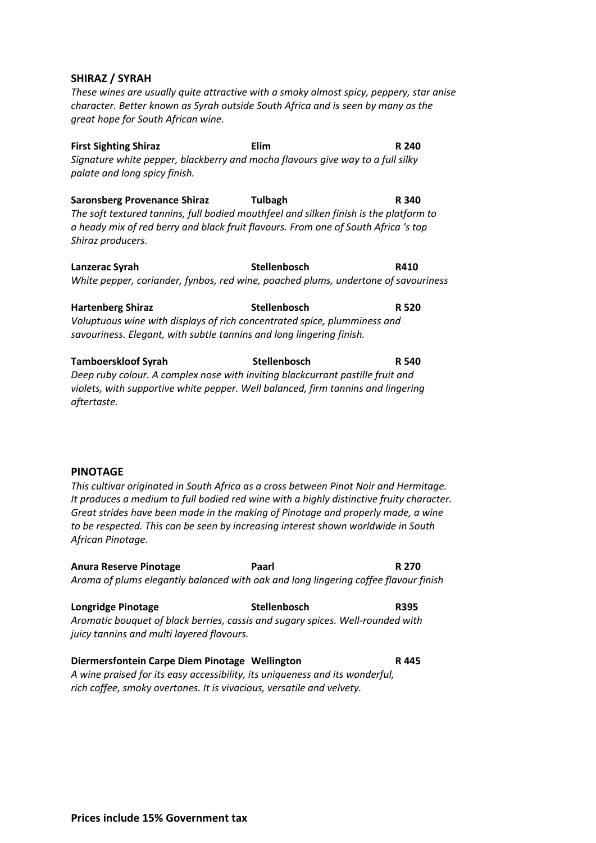#### **SHIRAZ / SYRAH**

*These wines are usually quite attractive with a smoky almost spicy, peppery, star anise character. Better known as Syrah outside South Africa and is seen by many as the great hope for South African wine.*

**First Sighting Shiraz Elim R 240** *Signature white pepper, blackberry and mocha flavours give way to a full silky palate and long spicy finish.*

**Saronsberg Provenance Shiraz Tulbagh R 340** *The soft textured tannins, full bodied mouthfeel and silken finish is the platform to a heady mix of red berry and black fruit flavours. From one of South Africa 's top Shiraz producers.*

**Lanzerac Syrah Stellenbosch R410** *White pepper, coriander, fynbos, red wine, poached plums, undertone of savouriness*

**Hartenberg Shiraz Stellenbosch R 520** *Voluptuous wine with displays of rich concentrated spice, plumminess and savouriness. Elegant, with subtle tannins and long lingering finish.*

**Tamboerskloof Syrah Stellenbosch R 540** *Deep ruby colour. A complex nose with inviting blackcurrant pastille fruit and violets, with supportive white pepper. Well balanced, firm tannins and lingering aftertaste.*

#### **PINOTAGE**

*This cultivar originated in South Africa as a cross between Pinot Noir and Hermitage. It produces a medium to full bodied red wine with a highly distinctive fruity character. Great strides have been made in the making of Pinotage and properly made, a wine to be respected. This can be seen by increasing interest shown worldwide in South African Pinotage.*

**Anura Reserve Pinotage Paarl R 270** *Aroma of plums elegantly balanced with oak and long lingering coffee flavour finish*

**Longridge Pinotage Stellenbosch R395** *Aromatic bouquet of black berries, cassis and sugary spices. Well-rounded with juicy tannins and multi layered flavours.*

**Diermersfontein Carpe Diem Pinotage Wellington R 445** *A wine praised for its easy accessibility, its uniqueness and its wonderful, rich coffee, smoky overtones. It is vivacious, versatile and velvety.*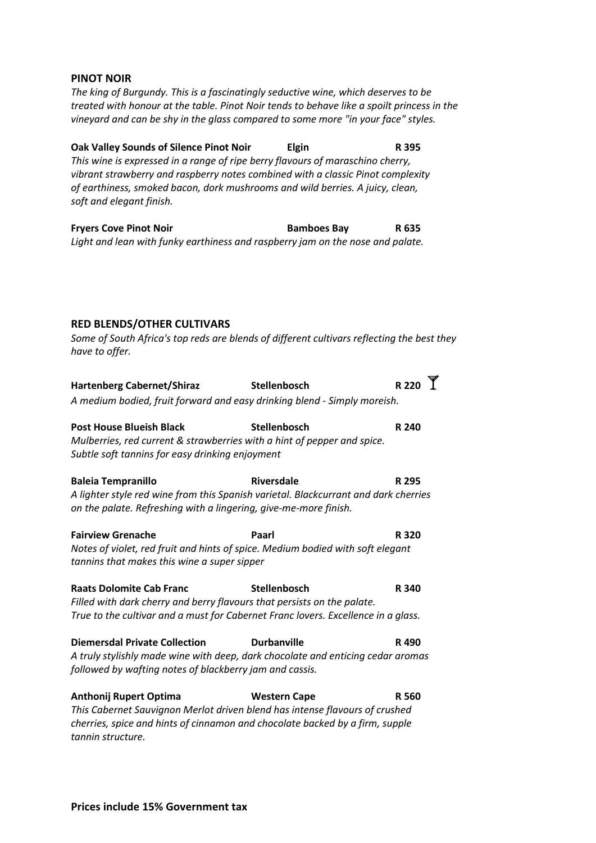#### **PINOT NOIR**

*The king of Burgundy. This is a fascinatingly seductive wine, which deserves to be treated with honour at the table. Pinot Noir tends to behave like a spoilt princess in the vineyard and can be shy in the glass compared to some more "in your face" styles.*

**Oak Valley Sounds of Silence Pinot Noir Elgin R 395** *This wine is expressed in a range of ripe berry flavours of maraschino cherry, vibrant strawberry and raspberry notes combined with a classic Pinot complexity of earthiness, smoked bacon, dork mushrooms and wild berries. A juicy, clean, soft and elegant finish.*

**Fryers Cove Pinot Noir Bamboes Bay R 635** *Light and lean with funky earthiness and raspberry jam on the nose and palate.*

#### **RED BLENDS/OTHER CULTIVARS**

*Some of South Africa's top reds are blends of different cultivars reflecting the best they have to offer.*

| <b>Hartenberg Cabernet/Shiraz</b>                                                   | Stellenbosch        | <b>R220</b> |  |  |
|-------------------------------------------------------------------------------------|---------------------|-------------|--|--|
| A medium bodied, fruit forward and easy drinking blend - Simply moreish.            |                     |             |  |  |
| <b>Post House Blueish Black</b>                                                     | Stellenbosch        | R 240       |  |  |
| Mulberries, red current & strawberries with a hint of pepper and spice.             |                     |             |  |  |
| Subtle soft tannins for easy drinking enjoyment                                     |                     |             |  |  |
| <b>Baleia Tempranillo</b>                                                           | <b>Riversdale</b>   | R 295       |  |  |
| A lighter style red wine from this Spanish varietal. Blackcurrant and dark cherries |                     |             |  |  |
| on the palate. Refreshing with a lingering, give-me-more finish.                    |                     |             |  |  |
| <b>Fairview Grenache</b>                                                            | Paarl               | R 320       |  |  |
| Notes of violet, red fruit and hints of spice. Medium bodied with soft elegant      |                     |             |  |  |
| tannins that makes this wine a super sipper                                         |                     |             |  |  |
| <b>Raats Dolomite Cab Franc</b>                                                     | Stellenbosch        | R 340       |  |  |
| Filled with dark cherry and berry flavours that persists on the palate.             |                     |             |  |  |
| True to the cultivar and a must for Cabernet Franc lovers. Excellence in a glass.   |                     |             |  |  |
| <b>Diemersdal Private Collection</b>                                                | <b>Durbanville</b>  | R490        |  |  |
| A truly stylishly made wine with deep, dark chocolate and enticing cedar aromas     |                     |             |  |  |
| followed by wafting notes of blackberry jam and cassis.                             |                     |             |  |  |
| Anthonij Rupert Optima                                                              | <b>Western Cape</b> | R 560       |  |  |
| This Cabernet Sauvignon Merlot driven blend has intense flavours of crushed         |                     |             |  |  |

*This Cabernet Sauvignon Merlot driven blend has intense flavours of crushed cherries, spice and hints of cinnamon and chocolate backed by a firm, supple tannin structure.*